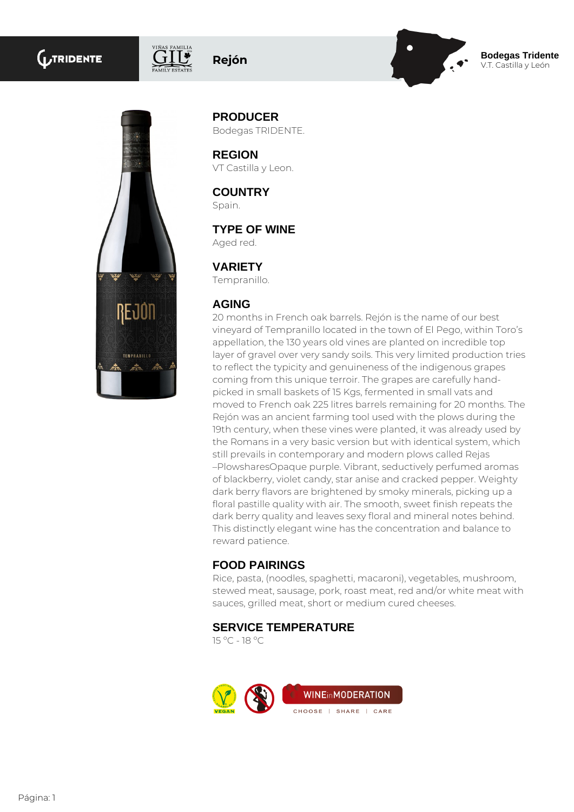# **GUTRIDENTE**



**Rejón Bodegas Tridente**

V.T. Castilla y León



**PRODUCER** Bodegas TRIDENTE.

**REGION** VT Castilla y Leon.

**COUNTRY** Spain.

**TYPE OF WINE**

Aged red.

# **VARIETY**

Tempranillo.

#### **AGING**

20 months in French oak barrels. Rejón is the name of our best vineyard of Tempranillo located in the town of El Pego, within Toro's appellation, the 130 years old vines are planted on incredible top layer of gravel over very sandy soils. This very limited production tries to reflect the typicity and genuineness of the indigenous grapes coming from this unique terroir. The grapes are carefully handpicked in small baskets of 15 Kgs, fermented in small vats and moved to French oak 225 litres barrels remaining for 20 months. The Rejón was an ancient farming tool used with the plows during the 19th century, when these vines were planted, it was already used by the Romans in a very basic version but with identical system, which still prevails in contemporary and modern plows called Rejas –PlowsharesOpaque purple. Vibrant, seductively perfumed aromas of blackberry, violet candy, star anise and cracked pepper. Weighty dark berry flavors are brightened by smoky minerals, picking up a floral pastille quality with air. The smooth, sweet finish repeats the dark berry quality and leaves sexy floral and mineral notes behind. This distinctly elegant wine has the concentration and balance to reward patience.

## **FOOD PAIRINGS**

Rice, pasta, (noodles, spaghetti, macaroni), vegetables, mushroom, stewed meat, sausage, pork, roast meat, red and/or white meat with sauces, grilled meat, short or medium cured cheeses.

## **SERVICE TEMPERATURE**

15 ºC - 18 ºC